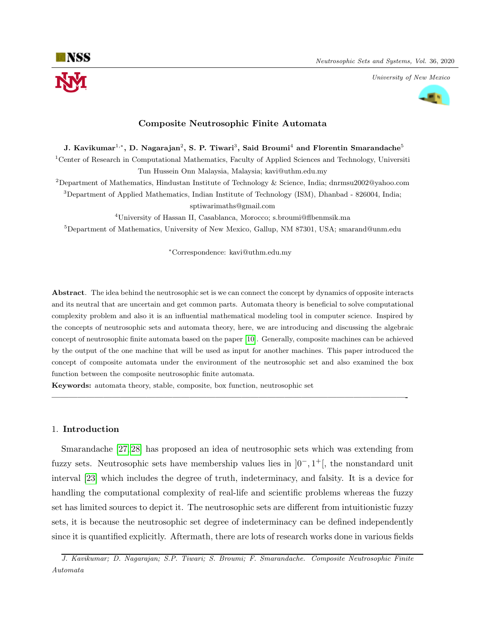University of New Mexico



# Composite Neutrosophic Finite Automata

## J. Kavikumar $^{1,\ast},$  D. Nagarajan $^2,$  S. P. Tiwari $^3,$  Said Broumi $^4$  and Florentin Smarandache $^5$

<sup>1</sup>Center of Research in Computational Mathematics, Faculty of Applied Sciences and Technology, Universiti Tun Hussein Onn Malaysia, Malaysia; kavi@uthm.edu.my

<sup>2</sup>Department of Mathematics, Hindustan Institute of Technology & Science, India; dnrmsu2002@yahoo.com

<sup>3</sup>Department of Applied Mathematics, Indian Institute of Technology (ISM), Dhanbad - 826004, India;

sptiwarimaths@gmail.com

<sup>4</sup>University of Hassan II, Casablanca, Morocco; s.broumi@flbenmsik.ma  ${}^{5}$ Department of Mathematics, University of New Mexico, Gallup, NM 87301, USA; smarand@unm.edu

<sup>∗</sup>Correspondence: kavi@uthm.edu.my

Abstract. The idea behind the neutrosophic set is we can connect the concept by dynamics of opposite interacts and its neutral that are uncertain and get common parts. Automata theory is beneficial to solve computational complexity problem and also it is an influential mathematical modeling tool in computer science. Inspired by the concepts of neutrosophic sets and automata theory, here, we are introducing and discussing the algebraic concept of neutrosophic finite automata based on the paper [\[10\]](#page-8-0). Generally, composite machines can be achieved by the output of the one machine that will be used as input for another machines. This paper introduced the concept of composite automata under the environment of the neutrosophic set and also examined the box function between the composite neutrosophic finite automata.

—————————————————————————————————————————-

Keywords: automata theory, stable, composite, box function, neutrosophic set

### 1. Introduction

Smarandache [\[27,](#page-9-0) [28\]](#page-9-1) has proposed an idea of neutrosophic sets which was extending from fuzzy sets. Neutrosophic sets have membership values lies in  $]0^-, 1^+]$ , the nonstandard unit interval [\[23\]](#page-9-2) which includes the degree of truth, indeterminacy, and falsity. It is a device for handling the computational complexity of real-life and scientific problems whereas the fuzzy set has limited sources to depict it. The neutrosophic sets are different from intuitionistic fuzzy sets, it is because the neutrosophic set degree of indeterminacy can be defined independently since it is quantified explicitly. Aftermath, there are lots of research works done in various fields

J. Kavikumar; D. Nagarajan; S.P. Tiwari; S. Broumi; F. Smarandache. Composite Neutrosophic Finite Automata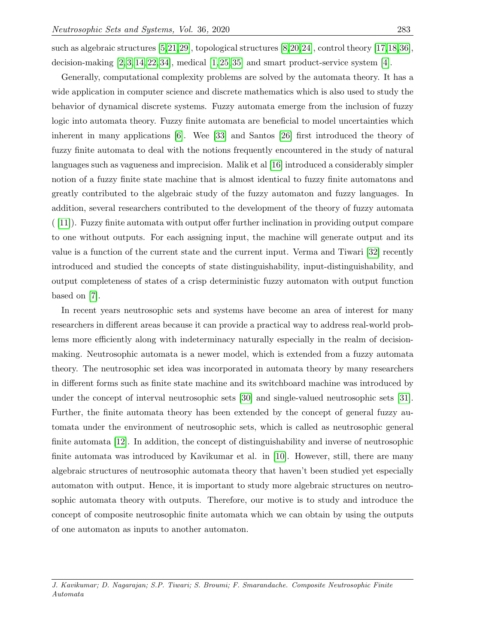such as algebraic structures [\[5,](#page-8-1)[21,](#page-8-2)[29\]](#page-9-3), topological structures [\[8,](#page-8-3)[20,](#page-8-4)[24\]](#page-9-4), control theory [\[17,](#page-8-5)[18,](#page-8-6)[36\]](#page-9-5), decision-making  $[2, 3, 14, 22, 34]$  $[2, 3, 14, 22, 34]$  $[2, 3, 14, 22, 34]$  $[2, 3, 14, 22, 34]$  $[2, 3, 14, 22, 34]$ , medical  $[1, 25, 35]$  $[1, 25, 35]$  $[1, 25, 35]$  and smart product-service system  $[4]$ .

Generally, computational complexity problems are solved by the automata theory. It has a wide application in computer science and discrete mathematics which is also used to study the behavior of dynamical discrete systems. Fuzzy automata emerge from the inclusion of fuzzy logic into automata theory. Fuzzy finite automata are beneficial to model uncertainties which inherent in many applications [\[6\]](#page-8-12). Wee [\[33\]](#page-9-9) and Santos [\[26\]](#page-9-10) first introduced the theory of fuzzy finite automata to deal with the notions frequently encountered in the study of natural languages such as vagueness and imprecision. Malik et al [\[16\]](#page-8-13) introduced a considerably simpler notion of a fuzzy finite state machine that is almost identical to fuzzy finite automatons and greatly contributed to the algebraic study of the fuzzy automaton and fuzzy languages. In addition, several researchers contributed to the development of the theory of fuzzy automata  $([11])$  $([11])$  $([11])$ . Fuzzy finite automata with output offer further inclination in providing output compare to one without outputs. For each assigning input, the machine will generate output and its value is a function of the current state and the current input. Verma and Tiwari [\[32\]](#page-9-11) recently introduced and studied the concepts of state distinguishability, input-distinguishability, and output completeness of states of a crisp deterministic fuzzy automaton with output function based on [\[7\]](#page-8-15).

In recent years neutrosophic sets and systems have become an area of interest for many researchers in different areas because it can provide a practical way to address real-world problems more efficiently along with indeterminacy naturally especially in the realm of decisionmaking. Neutrosophic automata is a newer model, which is extended from a fuzzy automata theory. The neutrosophic set idea was incorporated in automata theory by many researchers in different forms such as finite state machine and its switchboard machine was introduced by under the concept of interval neutrosophic sets [\[30\]](#page-9-12) and single-valued neutrosophic sets [\[31\]](#page-9-13). Further, the finite automata theory has been extended by the concept of general fuzzy automata under the environment of neutrosophic sets, which is called as neutrosophic general finite automata [\[12\]](#page-8-16). In addition, the concept of distinguishability and inverse of neutrosophic finite automata was introduced by Kavikumar et al. in [\[10\]](#page-8-0). However, still, there are many algebraic structures of neutrosophic automata theory that haven't been studied yet especially automaton with output. Hence, it is important to study more algebraic structures on neutrosophic automata theory with outputs. Therefore, our motive is to study and introduce the concept of composite neutrosophic finite automata which we can obtain by using the outputs of one automaton as inputs to another automaton.

J. Kavikumar; D. Nagarajan; S.P. Tiwari; S. Broumi; F. Smarandache. Composite Neutrosophic Finite Automata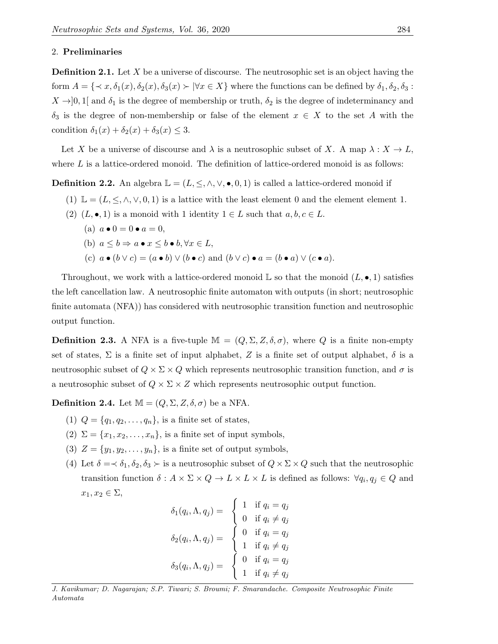### 2. Preliminaries

**Definition 2.1.** Let  $X$  be a universe of discourse. The neutrosophic set is an object having the form  $A = \{\langle x, \delta_1(x), \delta_2(x), \delta_3(x) \rangle | \forall x \in X\}$  where the functions can be defined by  $\delta_1, \delta_2, \delta_3$ :  $X \rightarrow ]0,1[$  and  $\delta_1$  is the degree of membership or truth,  $\delta_2$  is the degree of indeterminancy and  $\delta_3$  is the degree of non-membership or false of the element  $x \in X$  to the set A with the condition  $\delta_1(x) + \delta_2(x) + \delta_3(x) \leq 3$ .

Let X be a universe of discourse and  $\lambda$  is a neutrosophic subset of X. A map  $\lambda : X \to L$ , where  $L$  is a lattice-ordered monoid. The definition of lattice-ordered monoid is as follows:

**Definition 2.2.** An algebra  $\mathbb{L} = (L, \leq, \wedge, \vee, \bullet, 0, 1)$  is called a lattice-ordered monoid if

- (1)  $\mathbb{L} = (L, \leq, \wedge, \vee, 0, 1)$  is a lattice with the least element 0 and the element element 1.
- (2)  $(L, \bullet, 1)$  is a monoid with 1 identity  $1 \in L$  such that  $a, b, c \in L$ .
	- (a)  $a \bullet 0 = 0 \bullet a = 0$ . (b)  $a \leq b \Rightarrow a \bullet x \leq b \bullet b, \forall x \in L$ , (c)  $a \bullet (b \vee c) = (a \bullet b) \vee (b \bullet c)$  and  $(b \vee c) \bullet a = (b \bullet a) \vee (c \bullet a)$ .

Throughout, we work with a lattice-ordered monoid  $\mathbb L$  so that the monoid  $(L, \bullet, 1)$  satisfies the left cancellation law. A neutrosophic finite automaton with outputs (in short; neutrosophic finite automata (NFA)) has considered with neutrosophic transition function and neutrosophic output function.

**Definition 2.3.** A NFA is a five-tuple  $\mathbb{M} = (Q, \Sigma, Z, \delta, \sigma)$ , where Q is a finite non-empty set of states,  $\Sigma$  is a finite set of input alphabet, Z is a finite set of output alphabet,  $\delta$  is a neutrosophic subset of  $Q \times \Sigma \times Q$  which represents neutrosophic transition function, and  $\sigma$  is a neutrosophic subset of  $Q \times \Sigma \times Z$  which represents neutrosophic output function.

**Definition 2.4.** Let  $M = (Q, \Sigma, Z, \delta, \sigma)$  be a NFA.

- (1)  $Q = \{q_1, q_2, ..., q_n\}$ , is a finite set of states,
- (2)  $\Sigma = \{x_1, x_2, \ldots, x_n\}$ , is a finite set of input symbols,
- (3)  $Z = \{y_1, y_2, \dots, y_n\}$ , is a finite set of output symbols,
- (4) Let  $\delta = \langle \delta_1, \delta_2, \delta_3 \rangle$  is a neutrosophic subset of  $Q \times \Sigma \times Q$  such that the neutrosophic transition function  $\delta: A \times \Sigma \times Q \to L \times L \times L$  is defined as follows:  $\forall q_i, q_j \in Q$  and  $x_1, x_2 \in \Sigma$

| $\delta_1(q_i, \Lambda, q_j) = \begin{cases} 1 & \text{if } q_i = q_j \\ 0 & \text{if } q_i \neq q_j \end{cases}$ |                                                                                     |
|-------------------------------------------------------------------------------------------------------------------|-------------------------------------------------------------------------------------|
|                                                                                                                   |                                                                                     |
| $\delta_2(q_i,\Lambda,q_j) =$                                                                                     | $\begin{cases} 0 & \text{if } q_i = q_j \\ 1 & \text{if } q_i \neq q_j \end{cases}$ |
| $\delta_3(q_i,\Lambda,q_j) =$                                                                                     | $\begin{cases} 0 & \text{if } q_i = q_j \\ 1 & \text{if } q_i \neq q_j \end{cases}$ |
|                                                                                                                   |                                                                                     |

J. Kavikumar; D. Nagarajan; S.P. Tiwari; S. Broumi; F. Smarandache. Composite Neutrosophic Finite Automata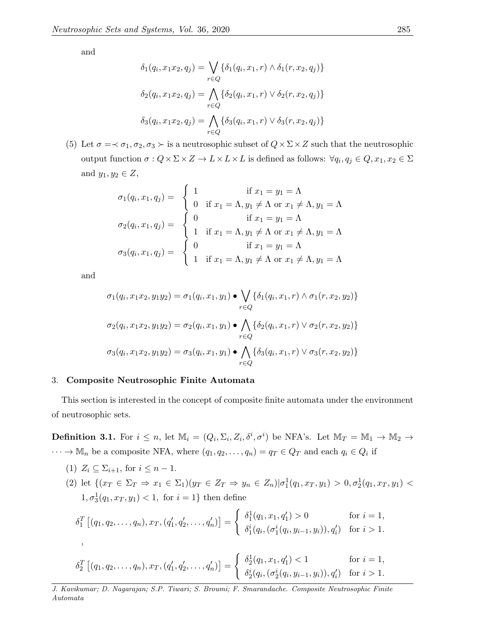and

$$
\delta_1(q_i, x_1x_2, q_j) = \bigvee_{r \in Q} \{ \delta_1(q_i, x_1, r) \land \delta_1(r, x_2, q_j) \}
$$

$$
\delta_2(q_i, x_1x_2, q_j) = \bigwedge_{r \in Q} \{ \delta_2(q_i, x_1, r) \lor \delta_2(r, x_2, q_j) \}
$$

$$
\delta_3(q_i, x_1x_2, q_j) = \bigwedge_{r \in Q} \{ \delta_3(q_i, x_1, r) \lor \delta_3(r, x_2, q_j) \}
$$

(5) Let  $\sigma = \prec \sigma_1, \sigma_2, \sigma_3 \succ \text{is a neutrosophic subset of } Q \times \Sigma \times Z \text{ such that the neutrosophic$ output function  $\sigma: Q \times \Sigma \times Z \to L \times L \times L$  is defined as follows:  $\forall q_i, q_j \in Q, x_1, x_2 \in \Sigma$ and  $y_1, y_2 \in Z$ ,

$$
\sigma_1(q_i, x_1, q_j) = \begin{cases}\n1 & \text{if } x_1 = y_1 = \Lambda \\
0 & \text{if } x_1 = \Lambda, y_1 \neq \Lambda \text{ or } x_1 \neq \Lambda, y_1 = \Lambda \\
0 & \text{if } x_1 = y_1 = \Lambda \\
1 & \text{if } x_1 = \Lambda, y_1 \neq \Lambda \text{ or } x_1 \neq \Lambda, y_1 = \Lambda \\
1 & \text{if } x_1 = \Lambda, y_1 \neq \Lambda \text{ or } x_1 \neq \Lambda, y_1 = \Lambda \\
1 & \text{if } x_1 = \Lambda, y_1 \neq \Lambda \text{ or } x_1 \neq \Lambda, y_1 = \Lambda\n\end{cases}
$$

and

$$
\sigma_1(q_i, x_1x_2, y_1y_2) = \sigma_1(q_i, x_1, y_1) \bullet \bigvee_{r \in Q} \{\delta_1(q_i, x_1, r) \land \sigma_1(r, x_2, y_2)\}
$$

$$
\sigma_2(q_i, x_1x_2, y_1y_2) = \sigma_2(q_i, x_1, y_1) \bullet \bigwedge_{r \in Q} \{\delta_2(q_i, x_1, r) \lor \sigma_2(r, x_2, y_2)\}
$$

$$
\sigma_3(q_i, x_1x_2, y_1y_2) = \sigma_3(q_i, x_1, y_1) \bullet \bigwedge_{r \in Q} \{\delta_3(q_i, x_1, r) \lor \sigma_3(r, x_2, y_2)\}
$$

## 3. Composite Neutrosophic Finite Automata

This section is interested in the concept of composite finite automata under the environment of neutrosophic sets.

**Definition 3.1.** For  $i \leq n$ , let  $\mathbb{M}_i = (Q_i, \Sigma_i, Z_i, \delta^i, \sigma^i)$  be NFA's. Let  $\mathbb{M}_T = \mathbb{M}_1 \to \mathbb{M}_2 \to$  $\cdots \to \mathbb{M}_n$  be a composite NFA, where  $(q_1, q_2, \ldots, q_n) = q_T \in Q_T$  and each  $q_i \in Q_i$  if

<span id="page-3-0"></span>(1)  $Z_i \subseteq \Sigma_{i+1}$ , for  $i \leq n-1$ . (2) let  $\{(x_T \in \Sigma_T \Rightarrow x_1 \in \Sigma_1)(y_T \in Z_T \Rightarrow y_n \in Z_n) | \sigma_1^1(q_1, x_T, y_1) > 0, \sigma_2^1(q_1, x_T, y_1) <$  $1, \sigma_3^1(q_1, x_T, y_1) < 1$ , for  $i = 1$ } then define

$$
\delta_1^T [(q_1, q_2, \dots, q_n), x_T, (q'_1, q'_2, \dots, q'_n)] = \begin{cases} \delta_1^1(q_1, x_1, q'_1) > 0 & \text{for } i = 1, \\ \delta_1^i(q_i, (\sigma_1^i(q_i, y_{i-1}, y_i)), q'_i) & \text{for } i > 1. \end{cases}
$$

$$
\delta_2^T \left[ (q_1, q_2, \dots, q_n), x_T, (q'_1, q'_2, \dots, q'_n) \right] = \begin{cases} \delta_2^1(q_1, x_1, q'_1) < 1 \\ \delta_2^i(q_i, (\sigma_2^i(q_i, y_{i-1}, y_i)), q'_i) & \text{for } i > 1. \end{cases}
$$

J. Kavikumar; D. Nagarajan; S.P. Tiwari; S. Broumi; F. Smarandache. Composite Neutrosophic Finite Automata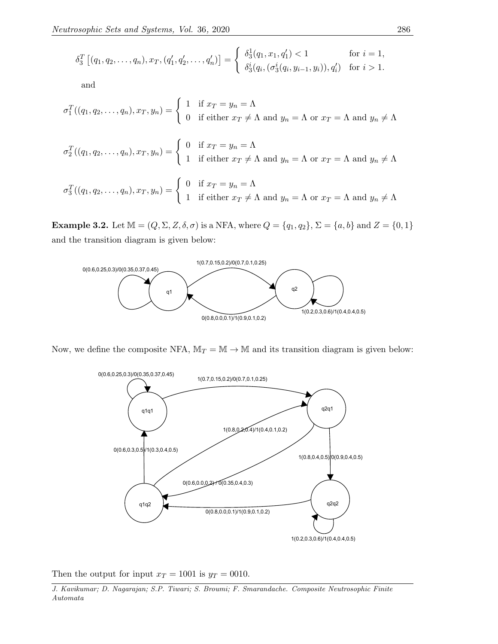$$
\delta_3^T [(q_1, q_2, \dots, q_n), x_T, (q'_1, q'_2, \dots, q'_n)] = \begin{cases} \delta_3^1(q_1, x_1, q'_1) < 1 \\ \delta_3^i(q_i, (\sigma_3^i(q_i, y_{i-1}, y_i)), q'_i) & \text{for } i > 1. \end{cases}
$$

and

$$
\sigma_1^T((q_1, q_2, \dots, q_n), x_T, y_n) = \begin{cases}\n1 & \text{if } x_T = y_n = \Lambda \\
0 & \text{if either } x_T \neq \Lambda \text{ and } y_n = \Lambda \text{ or } x_T = \Lambda \text{ and } y_n \neq \Lambda\n\end{cases}
$$
\n
$$
\sigma_2^T((q_1, q_2, \dots, q_n), x_T, y_n) = \begin{cases}\n0 & \text{if } x_T = y_n = \Lambda \\
1 & \text{if either } x_T \neq \Lambda \text{ and } y_n = \Lambda \text{ or } x_T = \Lambda \text{ and } y_n \neq \Lambda\n\end{cases}
$$
\n
$$
\sigma_3^T((q_1, q_2, \dots, q_n), x_T, y_n) = \begin{cases}\n0 & \text{if } x_T = y_n = \Lambda \\
1 & \text{if either } x_T \neq \Lambda \text{ and } y_n = \Lambda \text{ or } x_T = \Lambda \text{ and } y_n \neq \Lambda\n\end{cases}
$$

**Example 3.2.** Let  $\mathbb{M} = (Q, \Sigma, Z, \delta, \sigma)$  is a NFA, where  $Q = \{q_1, q_2\}$ ,  $\Sigma = \{a, b\}$  and  $Z = \{0, 1\}$ and the transition diagram is given below:



Now, we define the composite NFA,  $M_T = M \rightarrow M$  and its transition diagram is given below:



Then the output for input  $x_T = 1001$  is  $y_T = 0010$ .

J. Kavikumar; D. Nagarajan; S.P. Tiwari; S. Broumi; F. Smarandache. Composite Neutrosophic Finite  $\label{cor:1} {\sc Atromata}$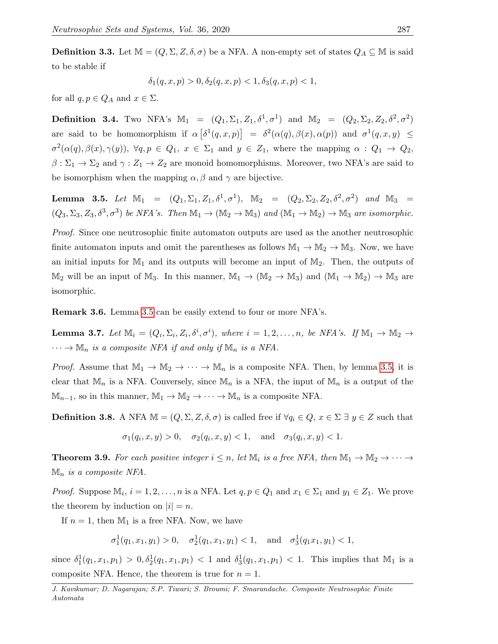**Definition 3.3.** Let  $\mathbb{M} = (Q, \Sigma, Z, \delta, \sigma)$  be a NFA. A non-empty set of states  $Q_A \subseteq \mathbb{M}$  is said to be stable if

$$
\delta_1(q, x, p) > 0, \delta_2(q, x, p) < 1, \delta_3(q, x, p) < 1,
$$

for all  $q, p \in Q_A$  and  $x \in \Sigma$ .

**Definition 3.4.** Two NFA's  $M_1 = (Q_1, \Sigma_1, Z_1, \delta^1, \sigma^1)$  and  $M_2 = (Q_2, \Sigma_2, Z_2, \delta^2, \sigma^2)$ are said to be homomorphism if  $\alpha \left[ \delta^1(q, x, p) \right] = \delta^2(\alpha(q), \beta(x), \alpha(p))$  and  $\sigma^1(q, x, y) \leq$  $\sigma^2(\alpha(q), \beta(x), \gamma(y)), \ \forall q, p \in Q_1, \ x \in \Sigma_1 \text{ and } y \in Z_1, \text{ where the mapping } \alpha \in Q_1 \rightarrow Q_2,$  $\beta:\Sigma_1\to\Sigma_2$  and  $\gamma:Z_1\to Z_2$  are monoid homomorphisms. Moreover, two NFA's are said to be isomorphism when the mapping  $\alpha, \beta$  and  $\gamma$  are bijective.

<span id="page-5-0"></span>Lemma 3.5. Let  $\mathbb{M}_1 = (Q_1, \Sigma_1, Z_1, \delta^1, \sigma^1), \mathbb{M}_2 = (Q_2, \Sigma_2, Z_2, \delta^2, \sigma^2)$  and  $\mathbb{M}_3 =$  $(Q_3, \Sigma_3, Z_3, \delta^3, \sigma^3)$  be NFA's. Then  $\mathbb{M}_1 \to (\mathbb{M}_2 \to \mathbb{M}_3)$  and  $(\mathbb{M}_1 \to \mathbb{M}_2) \to \mathbb{M}_3$  are isomorphic.

Proof. Since one neutrosophic finite automaton outputs are used as the another neutrosophic finite automaton inputs and omit the parentheses as follows  $\mathbb{M}_1 \to \mathbb{M}_2 \to \mathbb{M}_3$ . Now, we have an initial inputs for  $M_1$  and its outputs will become an input of  $M_2$ . Then, the outputs of  $M_2$  will be an input of  $M_3$ . In this manner,  $M_1 \to (M_2 \to M_3)$  and  $(M_1 \to M_2) \to M_3$  are isomorphic.

Remark 3.6. Lemma [3.5](#page-5-0) can be easily extend to four or more NFA's.

**Lemma 3.7.** Let  $\mathbb{M}_i = (Q_i, \Sigma_i, Z_i, \delta^i, \sigma^i)$ , where  $i = 1, 2, ..., n$ , be NFA's. If  $\mathbb{M}_1 \to \mathbb{M}_2 \to$  $\cdots \rightarrow \mathbb{M}_n$  is a composite NFA if and only if  $\mathbb{M}_n$  is a NFA.

*Proof.* Assume that  $M_1 \to M_2 \to \cdots \to M_n$  is a composite NFA. Then, by lemma [3.5,](#page-5-0) it is clear that  $\mathbb{M}_n$  is a NFA. Conversely, since  $\mathbb{M}_n$  is a NFA, the input of  $\mathbb{M}_n$  is a output of the  $\mathbb{M}_{n-1}$ , so in this manner,  $\mathbb{M}_1 \to \mathbb{M}_2 \to \cdots \to \mathbb{M}_n$  is a composite NFA.

**Definition 3.8.** A NFA  $\mathbb{M} = (Q, \Sigma, Z, \delta, \sigma)$  is called free if  $\forall q_i \in Q, x \in \Sigma \exists y \in Z$  such that

$$
\sigma_1(q_i, x, y) > 0
$$
,  $\sigma_2(q_i, x, y) < 1$ , and  $\sigma_3(q_i, x, y) < 1$ .

<span id="page-5-1"></span>**Theorem 3.9.** For each positive integer  $i \leq n$ , let  $\mathbb{M}_i$  is a free NFA, then  $\mathbb{M}_1 \to \mathbb{M}_2 \to \cdots \to$  $\mathbb{M}_n$  is a composite NFA.

*Proof.* Suppose  $\mathbb{M}_i$ ,  $i = 1, 2, ..., n$  is a NFA. Let  $q, p \in Q_1$  and  $x_1 \in \Sigma_1$  and  $y_1 \in Z_1$ . We prove the theorem by induction on  $|i| = n$ .

If  $n = 1$ , then  $M_1$  is a free NFA. Now, we have

$$
\sigma_1^1(q_1, x_1, y_1) > 0, \quad \sigma_2^1(q_1, x_1, y_1) < 1, \quad \text{and} \quad \sigma_3^1(q_1 x_1, y_1) < 1,
$$

since  $\delta_1^1(q_1, x_1, p_1) > 0, \delta_2^1(q_1, x_1, p_1) < 1$  and  $\delta_3^1(q_1, x_1, p_1) < 1$ . This implies that  $\mathbb{M}_1$  is a composite NFA. Hence, the theorem is true for  $n = 1$ .

J. Kavikumar; D. Nagarajan; S.P. Tiwari; S. Broumi; F. Smarandache. Composite Neutrosophic Finite Automata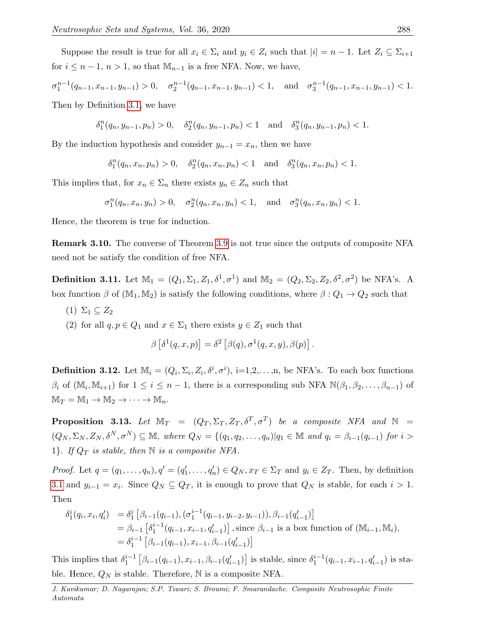Suppose the result is true for all  $x_i \in \Sigma_i$  and  $y_i \in Z_i$  such that  $|i| = n - 1$ . Let  $Z_i \subseteq \Sigma_{i+1}$ for  $i \leq n-1$ ,  $n > 1$ , so that  $\mathbb{M}_{n-1}$  is a free NFA. Now, we have,

$$
\sigma_1^{n-1}(q_{n-1}, x_{n-1}, y_{n-1}) > 0, \quad \sigma_2^{n-1}(q_{n-1}, x_{n-1}, y_{n-1}) < 1, \quad \text{and} \quad \sigma_3^{n-1}(q_{n-1}, x_{n-1}, y_{n-1}) < 1.
$$

Then by Definition [3.1,](#page-3-0) we have

$$
\delta_1^n(q_n, y_{n-1}, p_n) > 0, \quad \delta_2^n(q_n, y_{n-1}, p_n) < 1 \quad \text{and} \quad \delta_3^n(q_n, y_{n-1}, p_n) < 1.
$$

By the induction hypothesis and consider  $y_{n-1} = x_n$ , then we have

$$
\delta_1^n(q_n, x_n, p_n) > 0, \quad \delta_2^n(q_n, x_n, p_n) < 1 \quad \text{and} \quad \delta_3^n(q_n, x_n, p_n) < 1.
$$

This implies that, for  $x_n \in \Sigma_n$  there exists  $y_n \in Z_n$  such that

$$
\sigma_1^n(q_n, x_n, y_n) > 0
$$
,  $\sigma_2^n(q_n, x_n, y_n) < 1$ , and  $\sigma_3^n(q_n, x_n, y_n) < 1$ .

Hence, the theorem is true for induction.

Remark 3.10. The converse of Theorem [3.9](#page-5-1) is not true since the outputs of composite NFA need not be satisfy the condition of free NFA.

**Definition 3.11.** Let  $M_1 = (Q_1, \Sigma_1, Z_1, \delta^1, \sigma^1)$  and  $M_2 = (Q_2, \Sigma_2, Z_2, \delta^2, \sigma^2)$  be NFA's. A box function  $\beta$  of  $(M_1, M_2)$  is satisfy the following conditions, where  $\beta: Q_1 \to Q_2$  such that

 $(1)$   $\Sigma_1 \subseteq Z_2$ 

<span id="page-6-0"></span>(2) for all  $q, p \in Q_1$  and  $x \in \Sigma_1$  there exists  $y \in Z_1$  such that

$$
\beta \left[ \delta^1 (q, x, p) \right] = \delta^2 \left[ \beta (q), \sigma^1 (q, x, y), \beta (p) \right].
$$

**Definition 3.12.** Let  $\mathbb{M}_i = (Q_i, \Sigma_i, Z_i, \delta^i, \sigma^i), i=1,2,\ldots,n$ , be NFA's. To each box functions  $\beta_i$  of  $(\mathbb{M}_i, \mathbb{M}_{i+1})$  for  $1 \leq i \leq n-1$ , there is a corresponding sub NFA  $\mathbb{N}(\beta_1, \beta_2, \ldots, \beta_{n-1})$  of  $\mathbb{M}_T = \mathbb{M}_1 \to \mathbb{M}_2 \to \cdots \to \mathbb{M}_n.$ 

**Proposition 3.13.** Let  $\mathbb{M}_T = (Q_T, \Sigma_T, Z_T, \delta^T, \sigma^T)$  be a composite NFA and  $\mathbb{N} =$  $(Q_N, \Sigma_N, Z_N, \delta^N, \sigma^N) \subseteq \mathbb{M}$ , where  $Q_N = \{(q_1, q_2, \ldots, q_n)| q_1 \in \mathbb{M}$  and  $q_i = \beta_{i-1}(q_{i-1})$  for  $i >$ 1}. If  $Q_T$  is stable, then  $\mathbb N$  is a compositie NFA.

*Proof.* Let  $q = (q_1, \ldots, q_n), q' = (q'_1, \ldots, q'_n) \in Q_N, x_T \in \Sigma_T$  and  $y_i \in Z_T$ . Then, by definition [3.1](#page-3-0) and  $y_{i-1} = x_i$ . Since  $Q_N \subseteq Q_T$ , it is enough to prove that  $Q_N$  is stable, for each  $i > 1$ . Then

$$
\delta_1^i(q_i, x_i, q'_i) = \delta_1^i \left[ \beta_{i-1}(q_{i-1}), (\sigma_1^{i-1}(q_{i-1}, y_{i-2}, y_{i-1})), \beta_{i-1}(q'_{i-1}) \right]
$$
  
\n
$$
= \beta_{i-1} \left[ \delta_1^{i-1}(q_{i-1}, x_{i-1}, q'_{i-1}) \right], \text{ since } \beta_{i-1} \text{ is a box function of } (\mathbb{M}_{i-1}, \mathbb{M}_i),
$$
  
\n
$$
= \delta_1^{i-1} \left[ \beta_{i-1}(q_{i-1}), x_{i-1}, \beta_{i-1}(q'_{i-1}) \right]
$$

This implies that  $\delta_1^{i-1} [\beta_{i-1}(q_{i-1}), x_{i-1}, \beta_{i-1}(q_{i-1}')]$  is stable, since  $\delta_1^{i-1}(q_{i-1}, x_{i-1}, q_{i-1}')$  is stable. Hence,  $Q_N$  is stable. Therefore, N is a composite NFA.

J. Kavikumar; D. Nagarajan; S.P. Tiwari; S. Broumi; F. Smarandache. Composite Neutrosophic Finite Automata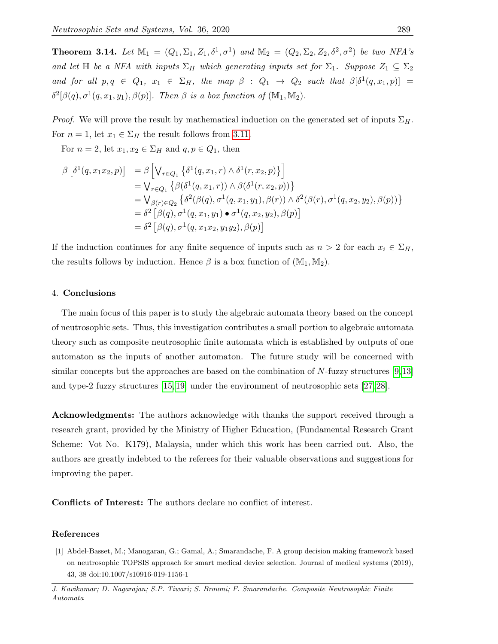**Theorem 3.14.** Let  $M_1 = (Q_1, \Sigma_1, Z_1, \delta^1, \sigma^1)$  and  $M_2 = (Q_2, \Sigma_2, Z_2, \delta^2, \sigma^2)$  be two NFA's and let  $\mathbb H$  be a NFA with inputs  $\Sigma_H$  which generating inputs set for  $\Sigma_1$ . Suppose  $Z_1 \subseteq \Sigma_2$ and for all  $p,q \in Q_1$ ,  $x_1 \in \Sigma_H$ , the map  $\beta : Q_1 \rightarrow Q_2$  such that  $\beta[\delta^1(q,x_1,p)] =$  $\delta^2[\beta(q), \sigma^1(q, x_1, y_1), \beta(p)]$ . Then  $\beta$  is a box function of  $(\mathbb{M}_1, \mathbb{M}_2)$ .

*Proof.* We will prove the result by mathematical induction on the generated set of inputs  $\Sigma_H$ . For  $n = 1$ , let  $x_1 \in \Sigma_H$  the result follows from [3.11.](#page-6-0)

For  $n = 2$ , let  $x_1, x_2 \in \Sigma_H$  and  $q, p \in Q_1$ , then

$$
\begin{aligned}\n\beta \left[ \delta^{1}(q, x_{1}x_{2}, p) \right] &= \beta \left[ \bigvee_{r \in Q_{1}} \left\{ \delta^{1}(q, x_{1}, r) \wedge \delta^{1}(r, x_{2}, p) \right\} \right] \\
&= \bigvee_{r \in Q_{1}} \left\{ \beta(\delta^{1}(q, x_{1}, r)) \wedge \beta(\delta^{1}(r, x_{2}, p)) \right\} \\
&= \bigvee_{\beta(r) \in Q_{2}} \left\{ \delta^{2}(\beta(q), \sigma^{1}(q, x_{1}, y_{1}), \beta(r)) \wedge \delta^{2}(\beta(r), \sigma^{1}(q, x_{2}, y_{2}), \beta(p)) \right\} \\
&= \delta^{2} \left[ \beta(q), \sigma^{1}(q, x_{1}, y_{1}) \bullet \sigma^{1}(q, x_{2}, y_{2}), \beta(p) \right] \\
&= \delta^{2} \left[ \beta(q), \sigma^{1}(q, x_{1}x_{2}, y_{1}y_{2}), \beta(p) \right]\n\end{aligned}
$$

If the induction continues for any finite sequence of inputs such as  $n > 2$  for each  $x_i \in \Sigma_H$ , the results follows by induction. Hence  $\beta$  is a box function of  $(\mathbb{M}_1, \mathbb{M}_2)$ .

#### 4. Conclusions

The main focus of this paper is to study the algebraic automata theory based on the concept of neutrosophic sets. Thus, this investigation contributes a small portion to algebraic automata theory such as composite neutrosophic finite automata which is established by outputs of one automaton as the inputs of another automaton. The future study will be concerned with similar concepts but the approaches are based on the combination of N-fuzzy structures [\[9,](#page-8-17)[13\]](#page-8-18) and type-2 fuzzy structures [\[15,](#page-8-19) [19\]](#page-8-20) under the environment of neutrosophic sets [\[27,](#page-9-0) [28\]](#page-9-1).

Acknowledgments: The authors acknowledge with thanks the support received through a research grant, provided by the Ministry of Higher Education, (Fundamental Research Grant Scheme: Vot No. K179), Malaysia, under which this work has been carried out. Also, the authors are greatly indebted to the referees for their valuable observations and suggestions for improving the paper.

Conflicts of Interest: The authors declare no conflict of interest.

#### References

<span id="page-7-0"></span>[1] Abdel-Basset, M.; Manogaran, G.; Gamal, A.; Smarandache, F. A group decision making framework based on neutrosophic TOPSIS approach for smart medical device selection. Journal of medical systems (2019), 43, 38 doi:10.1007/s10916-019-1156-1

J. Kavikumar; D. Nagarajan; S.P. Tiwari; S. Broumi; F. Smarandache. Composite Neutrosophic Finite Automata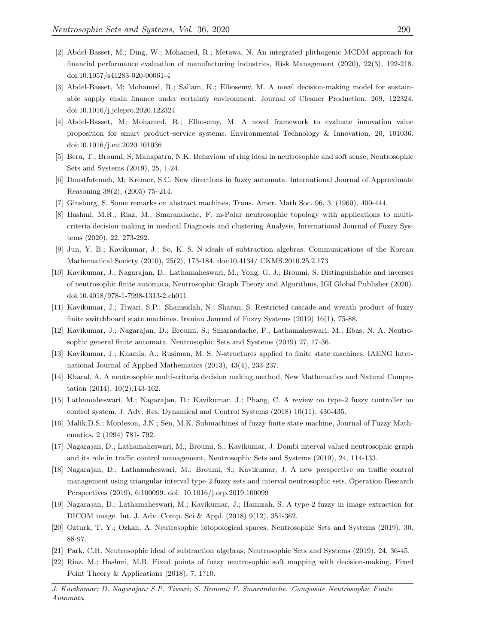- <span id="page-8-7"></span>[2] Abdel-Basset, M.; Ding, W.; Mohamed, R.; Metawa, N. An integrated plithogenic MCDM approach for financial performance evaluation of manufacturing industries, Risk Management (2020), 22(3), 192-218. doi:10.1057/s41283-020-00061-4
- <span id="page-8-8"></span>[3] Abdel-Basset, M; Mohamed, R.; Sallam, K.; Elhosemy, M. A novel decision-making model for sustainable supply chain finance under certainty environment. Journal of Cleaner Production, 269, 122324. doi:10.1016/j.jclepro.2020.122324
- <span id="page-8-11"></span>[4] Abdel-Basset, M; Mohamed, R.; Elhosemy, M. A novel framework to evaluate innovation value proposition for smart product–service systems. Environmental Technology & Innovation, 20, 101036. doi:10.1016/j.eti.2020.101036
- <span id="page-8-1"></span>[5] Bera, T.; Broumi, S; Mahapatra, N.K. Behaviour of ring ideal in neutrosophic and soft sense, Neutrosophic Sets and Systems (2019), 25, 1-24.
- <span id="page-8-12"></span>[6] Doostfatemeh, M; Kremer, S.C. New directions in fuzzy automata. International Journal of Approximate Reasoning 38(2), (2005) 75–214.
- <span id="page-8-15"></span>[7] Ginsburg, S. Some remarks on abstract machines, Trans. Amer. Math Soc. 96, 3, (1960), 400-444.
- <span id="page-8-3"></span>[8] Hashmi, M.R.; Riaz, M.; Smarandache, F. m-Polar neutrosophic topology with applications to multicriteria decision-making in medical Diagnosis and clustering Analysis, International Journal of Fuzzy Systems (2020), 22, 273-292.
- <span id="page-8-17"></span>[9] Jun, Y. B.; Kavikumar, J.; So, K. S. N-ideals of subtraction algebras. Communications of the Korean Mathematical Society (2010), 25(2), 173-184. doi:10.4134/ CKMS.2010.25.2.173
- <span id="page-8-0"></span>[10] Kavikumar, J.; Nagarajan, D.; Lathamaheswari, M.; Yong, G. J.; Broumi, S. Distinguishable and inverses of neutrosophic finite automata, Neutrosophic Graph Theory and Algorithms, IGI Global Publisher (2020). doi:10.4018/978-1-7998-1313-2.ch011
- <span id="page-8-14"></span>[11] Kavikumar, J.; Tiwari, S.P.: Shamsidah, N.; Sharan, S. Restricted cascade and wreath product of fuzzy finite switchboard state machines. Iranian Journal of Fuzzy Systems (2019) 16(1), 75-88.
- <span id="page-8-16"></span>[12] Kavikumar, J.; Nagarajan, D.; Broumi, S.; Smarandache, F.; Lathamaheswari, M.; Ebas, N. A. Neutrosophic general finite automata. Neutrosophic Sets and Systems (2019) 27, 17-36.
- <span id="page-8-18"></span>[13] Kavikumar, J.; Khamis, A.; Rusiman, M. S. N-structures applied to finite state machines. IAENG International Journal of Applied Mathematics (2013), 43(4), 233-237.
- <span id="page-8-9"></span>[14] Kharal, A. A neutrosophic multi-criteria decision making method, New Mathematics and Natural Computation (2014), 10(2),143-162.
- <span id="page-8-19"></span>[15] Lathamaheswari, M.; Nagarajan, D.; Kavikumar, J.; Phang, C. A review on type-2 fuzzy controller on control system. J. Adv. Res. Dynamical and Control Systems (2018) 10(11), 430-435.
- <span id="page-8-13"></span>[16] Malik,D.S.; Mordeson, J.N.; Sen, M.K. Submachines of fuzzy finite state machine, Journal of Fuzzy Mathematics, 2 (1994) 781- 792.
- <span id="page-8-5"></span>[17] Nagarajan, D.; Lathamaheswari, M.; Broumi, S.; Kavikumar, J. Dombi interval valued neutrosophic graph and its role in traffic control management, Neutrosophic Sets and Systems (2019), 24, 114-133.
- <span id="page-8-6"></span>[18] Nagarajan, D.; Lathamaheswari, M.; Broumi, S.; Kavikumar, J. A new perspective on traffic control management using triangular interval type-2 fuzzy sets and interval neutrosophic sets, Operation Research Perspectives (2019), 6:100099. doi: 10.1016/j.orp.2019.100099
- <span id="page-8-20"></span>[19] Nagarajan, D.; Lathamaheswari, M.; Kavikumar, J.; Hamizah, S. A type-2 fuzzy in image extraction for DICOM image. Int. J. Adv. Comp. Sci & Appl. (2018) 9(12), 351-362.
- <span id="page-8-4"></span>[20] Ozturk, T. Y.; Ozkan, A. Neutrosophic bitopological spaces, Neutrosophic Sets and Systems (2019), 30, 88-97.
- <span id="page-8-2"></span>[21] Park, C.H. Neutrosophic ideal of subtraction algebras, Neutrosophic Sets and Systems (2019), 24, 36-45.
- <span id="page-8-10"></span>[22] Riaz, M.; Hashmi, M.R. Fixed points of fuzzy neutrosophic soft mapping with decision-making, Fixed Point Theory & Applications (2018), 7, 1?10.